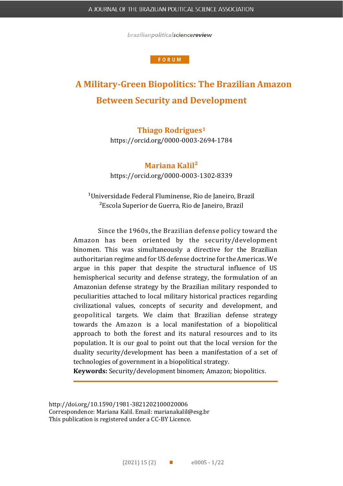brazilianpoliticalsciencereview

#### **FORUM**

# **A Military-Green Biopolitics: The Brazilian Amazon Between Security and Development**

## **Thiago Rodrigues<sup>1</sup>**

https://orcid.org/0000-0003-2694-1784

**Mariana Kalil²**

https://orcid.org/0000-0003-1302-8339

<sup>1</sup>Universidade Federal Fluminense, Rio de Janeiro, Brazil ²Escola Superior de Guerra, Rio de Janeiro, Brazil

Since the 1960s, the Brazilian defense policy toward the Amazon has been oriented by the security/development binomen. This was simultaneously a directive for the Brazilian authoritarian regime and for US defense doctrine for the Americas. We argue in this paper that despite the structural influence of US hemispherical security and defense strategy, the formulation of an Amazonian defense strategy by the Brazilian military responded to peculiarities attached to local military historical practices regarding civilizational values, concepts of security and development, and geopolitical targets. We claim that Brazilian defense strategy towards the Amazon is a local manifestation of a biopolitical approach to both the forest and its natural resources and to its population. It is our goal to point out that the local version for the duality security/development has been a manifestation of a set of technologies of government in a biopolitical strategy.

**Keywords:** Security/development binomen; Amazon; biopolitics.

[http://doi.org/1](http://doi.org/)0.1590/1981-3821202100020006 Correspondence: Mariana Kalil. Email: marianakalil@esg.br This publication is registered under a CC-BY Licence.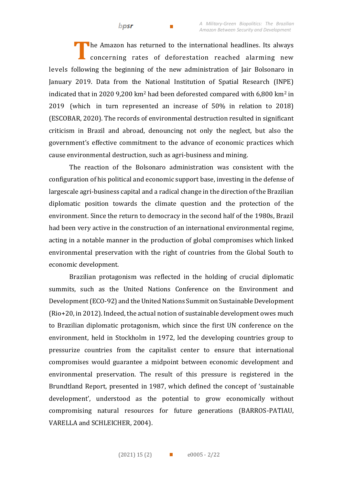The Amazon has returned to the international headlines. Its always concerning rates of deforestation reached alarming new levels following the beginning of the new administration of Jair Bolsonaro in January 2019. Data from the National Institution of Spatial Research (INPE) indicated that in 2020 9,200 km<sup>2</sup> had been deforested compared with 6,800 km<sup>2</sup> in 2019 (which in turn represented an increase of 50% in relation to 2018) (ESCOBAR, 2020). The records of environmental destruction resulted in significant criticism in Brazil and abroad, denouncing not only the neglect, but also the government's effective commitment to the advance of economic practices which cause environmental destruction, such as agri-business and mining. **T**

The reaction of the Bolsonaro administration was consistent with the configuration of his political and economic support base, investing in the defense of largescale agri-business capital and a radical change in the direction of the Brazilian diplomatic position towards the climate question and the protection of the environment. Since the return to democracy in the second half of the 1980s, Brazil had been very active in the construction of an international environmental regime, acting in a notable manner in the production of global compromises which linked environmental preservation with the right of countries from the Global South to economic development.

Brazilian protagonism was reflected in the holding of crucial diplomatic summits, such as the United Nations Conference on the Environment and Development (ECO-92) and the United Nations Summit on Sustainable Development (Rio+20, in 2012). Indeed, the actual notion of sustainable development owes much to Brazilian diplomatic protagonism, which since the first UN conference on the environment, held in Stockholm in 1972, led the developing countries group to pressurize countries from the capitalist center to ensure that international compromises would guarantee a midpoint between economic development and environmental preservation. The result of this pressure is registered in the Brundtland Report, presented in 1987, which defined the concept of 'sustainable development', understood as the potential to grow economically without compromising natural resources for future generations (BARROS-PATIAU, VARELLA and SCHLEICHER, 2004).

bpsr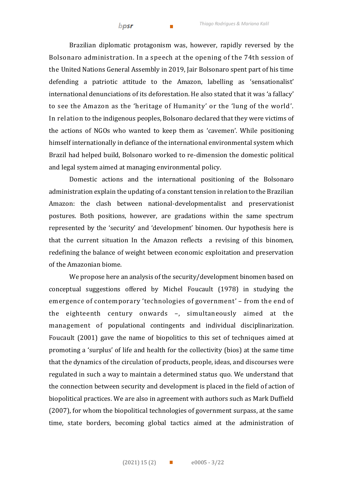bpsr

Brazilian diplomatic protagonism was, however, rapidly reversed by the Bolsonaro administration. In a speech at the opening of the 74th session of the United Nations General Assembly in 2019, Jair Bolsonaro spent part of his time defending a patriotic attitude to the Amazon, labelling as 'sensationalist' international denunciations of its deforestation. He also stated that it was 'a fallacy' to see the Amazon as the 'heritage of Humanity' or the 'lung of the world'. In relation to the indigenous peoples, Bolsonaro declared that they were victims of the actions of NGOs who wanted to keep them as 'cavemen'. While positioning himself internationally in defiance of the international environmental system which Brazil had helped build, Bolsonaro worked to re-dimension the domestic political and legal system aimed at managing environmental policy.

Domestic actions and the international positioning of the Bolsonaro administration explain the updating of a constant tension in relation to the Brazilian Amazon: the clash between national-developmentalist and preservationist postures. Both positions, however, are gradations within the same spectrum represented by the 'security' and 'development' binomen. Our hypothesis here is that the current situation In the Amazon reflects a revising of this binomen, redefining the balance of weight between economic exploitation and preservation of the Amazonian biome.

We propose here an analysis of the security/development binomen based on conceptual suggestions offered by Michel Foucault (1978) in studying the emergence of contemporary 'technologies of government' – from the end of the eighteenth century onwards –, simultaneously aimed at the management of populational contingents and individual disciplinarization. Foucault (2001) gave the name of biopolitics to this set of techniques aimed at promoting a 'surplus' of life and health for the collectivity (bios) at the same time that the dynamics of the circulation of products, people, ideas, and discourses were regulated in such a way to maintain a determined status quo. We understand that the connection between security and development is placed in the field of action of biopolitical practices. We are also in agreement with authors such as Mark Duffield (2007), for whom the biopolitical technologies of government surpass, at the same time, state borders, becoming global tactics aimed at the administration of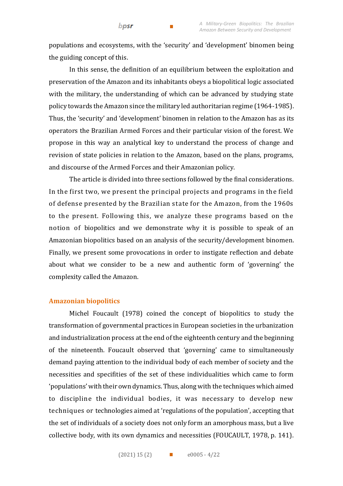populations and ecosystems, with the 'security' and 'development' binomen being the guiding concept of this.

In this sense, the definition of an equilibrium between the exploitation and preservation of the Amazon and its inhabitants obeys a biopolitical logic associated with the military, the understanding of which can be advanced by studying state policy towards the Amazon since the military led authoritarian regime (1964-1985). Thus, the 'security' and 'development' binomen in relation to the Amazon has as its operators the Brazilian Armed Forces and their particular vision of the forest. We propose in this way an analytical key to understand the process of change and revision of state policies in relation to the Amazon, based on the plans, programs, and discourse of the Armed Forces and their Amazonian policy.

The article is divided into three sections followed by the final considerations. In the first two, we present the principal projects and programs in the field of defense presented by the Brazilian state for the Amazon, from the 1960s to the present. Following this, we analyze these programs based on the notion of biopolitics and we demonstrate why it is possible to speak of an Amazonian biopolitics based on an analysis of the security/development binomen. Finally, we present some provocations in order to instigate reflection and debate about what we consider to be a new and authentic form of 'governing' the complexity called the Amazon.

## **Amazonian biopolitics**

Michel Foucault (1978) coined the concept of biopolitics to study the transformation of governmental practices in European societies in the urbanization and industrialization process at the end of the eighteenth century and the beginning of the nineteenth. Foucault observed that 'governing' came to simultaneously demand paying attention to the individual body of each member of society and the necessities and specifities of the set of these individualities which came to form 'populations' with their own dynamics. Thus, along with the techniques which aimed to discipline the individual bodies, it was necessary to develop new techniques or technologies aimed at 'regulations of the population', accepting that the set of individuals of a society does not only form an amorphous mass, but a live collective body, with its own dynamics and necessities (FOUCAULT, 1978, p. 141).

bpsr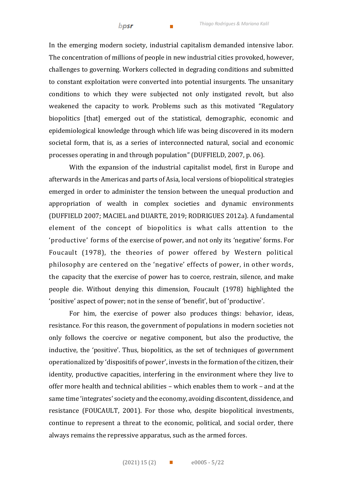In the emerging modern society, industrial capitalism demanded intensive labor. The concentration of millions of people in new industrial cities provoked, however, challenges to governing. Workers collected in degrading conditions and submitted to constant exploitation were converted into potential insurgents. The unsanitary conditions to which they were subjected not only instigated revolt, but also weakened the capacity to work. Problems such as this motivated "Regulatory biopolitics [that] emerged out of the statistical, demographic, economic and epidemiological knowledge through which life was being discovered in its modern societal form, that is, as a series of interconnected natural, social and economic processes operating in and through population" (DUFFIELD, 2007, p. 06).

With the expansion of the industrial capitalist model, first in Europe and afterwards in the Americas and parts of Asia, local versions of biopolitical strategies emerged in order to administer the tension between the unequal production and appropriation of wealth in complex societies and dynamic environments (DUFFIELD 2007; MACIEL and DUARTE, 2019; RODRIGUES 2012a). A fundamental element of the concept of biopolitics is what calls attention to the 'productive' forms of the exercise of power, and not only its 'negative' forms. For Foucault (1978), the theories of power offered by Western political philosophy are centered on the 'negative' effects of power, in other words, the capacity that the exercise of power has to coerce, restrain, silence, and make people die. Without denying this dimension, Foucault (1978) highlighted the 'positive' aspect of power; not in the sense of 'benefit', but of 'productive'.

For him, the exercise of power also produces things: behavior, ideas, resistance. For this reason, the government of populations in modern societies not only follows the coercive or negative component, but also the productive, the inductive, the 'positive'. Thus, biopolitics, as the set of techniques of government operationalized by 'dispositifs of power', invests in the formation of the citizen, their identity, productive capacities, interfering in the environment where they live to offer more health and technical abilities – which enables them to work – and at the same time 'integrates' society and the economy, avoiding discontent, dissidence, and resistance (FOUCAULT, 2001). For those who, despite biopolitical investments, continue to represent a threat to the economic, political, and social order, there always remains the repressive apparatus, such as the armed forces.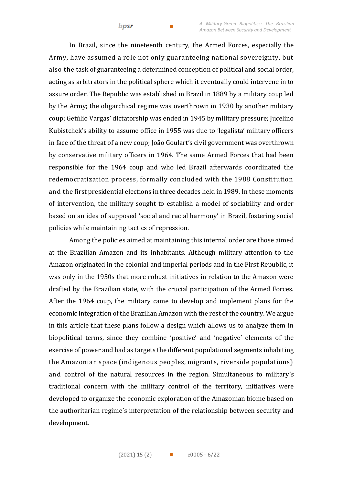In Brazil, since the nineteenth century, the Armed Forces, especially the Army, have assumed a role not only guaranteeing national sovereignty, but also the task of guaranteeing a determined conception of political and social order, acting as arbitrators in the political sphere which it eventually could intervene in to assure order. The Republic was established in Brazil in 1889 by a military coup led by the Army; the oligarchical regime was overthrown in 1930 by another military coup; Getúlio Vargas' dictatorship was ended in 1945 by military pressure; Jucelino Kubistchek's ability to assume office in 1955 was due to 'legalista' military officers in face of the threat of a new coup; João Goulart's civil government was overthrown by conservative military officers in 1964. The same Armed Forces that had been responsible for the 1964 coup and who led Brazil afterwards coordinated the redemocratization process, formally concluded with the 1988 Constitution and the first presidential elections in three decades held in 1989. In these moments of intervention, the military sought to establish a model of sociability and order based on an idea of supposed 'social and racial harmony' in Brazil, fostering social policies while maintaining tactics of repression.

bpsr

Among the policies aimed at maintaining this internal order are those aimed at the Brazilian Amazon and its inhabitants. Although military attention to the Amazon originated in the colonial and imperial periods and in the First Republic, it was only in the 1950s that more robust initiatives in relation to the Amazon were drafted by the Brazilian state, with the crucial participation of the Armed Forces. After the 1964 coup, the military came to develop and implement plans for the economic integration of the Brazilian Amazon with the rest of the country. We argue in this article that these plans follow a design which allows us to analyze them in biopolitical terms, since they combine 'positive' and 'negative' elements of the exercise of power and had as targets the different populational segments inhabiting the Amazonian space (indigenous peoples, migrants, riverside populations) and control of the natural resources in the region. Simultaneous to military's traditional concern with the military control of the territory, initiatives were developed to organize the economic exploration of the Amazonian biome based on the authoritarian regime's interpretation of the relationship between security and development.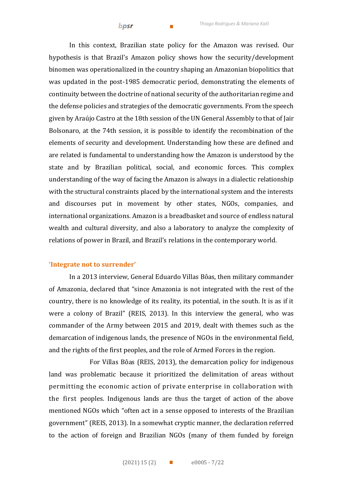In this context, Brazilian state policy for the Amazon was revised. Our hypothesis is that Brazil's Amazon policy shows how the security/development binomen was operationalized in the country shaping an Amazonian biopolitics that was updated in the post-1985 democratic period, demonstrating the elements of continuity between the doctrine of national security of the authoritarian regime and the defense policies and strategies of the democratic governments. From the speech given by Araújo Castro at the 18th session of the UN General Assembly to that of Jair Bolsonaro, at the 74th session, it is possible to identify the recombination of the elements of security and development. Understanding how these are defined and are related is fundamental to understanding how the Amazon is understood by the state and by Brazilian political, social, and economic forces. This complex understanding of the way of facing the Amazon is always in a dialectic relationship with the structural constraints placed by the international system and the interests and discourses put in movement by other states, NGOs, companies, and international organizations. Amazon is a breadbasket and source of endless natural wealth and cultural diversity, and also a laboratory to analyze the complexity of relations of power in Brazil, and Brazil's relations in the contemporary world.

### **'Integrate not to surrender'**

In a 2013 interview, General Eduardo Villas Bôas, then military commander of Amazonia, declared that "since Amazonia is not integrated with the rest of the country, there is no knowledge of its reality, its potential, in the south. It is as if it were a colony of Brazil" (REIS, 2013). In this interview the general, who was commander of the Army between 2015 and 2019, dealt with themes such as the demarcation of indigenous lands, the presence of NGOs in the environmental field, and the rights of the first peoples, and the role of Armed Forces in the region.

For Villas Bôas (REIS, 2013), the demarcation policy for indigenous land was problematic because it prioritized the delimitation of areas without permitting the economic action of private enterprise in collaboration with the first peoples. Indigenous lands are thus the target of action of the above mentioned NGOs which "often act in a sense opposed to interests of the Brazilian government" (REIS, 2013). In a somewhat cryptic manner, the declaration referred to the action of foreign and Brazilian NGOs (many of them funded by foreign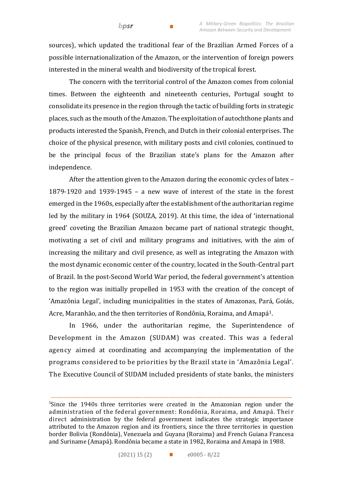sources), which updated the traditional fear of the Brazilian Armed Forces of a possible internationalization of the Amazon, or the intervention of foreign powers interested in the mineral wealth and biodiversity of the tropical forest.

 $\overline{\phantom{a}}$ 

bpsr

The concern with the territorial control of the Amazon comes from colonial times. Between the eighteenth and nineteenth centuries, Portugal sought to consolidate its presence in the region through the tactic of building forts in strategic places, such as the mouth of the Amazon. The exploitation of autochthone plants and products interested the Spanish, French, and Dutch in their colonial enterprises. The choice of the physical presence, with military posts and civil colonies, continued to be the principal focus of the Brazilian state's plans for the Amazon after independence.

After the attention given to the Amazon during the economic cycles of latex – 1879-1920 and 1939-1945 – a new wave of interest of the state in the forest emerged in the 1960s, especially after the establishment of the authoritarian regime led by the military in 1964 (SOUZA, 2019). At this time, the idea of 'international greed' coveting the Brazilian Amazon became part of national strategic thought, motivating a set of civil and military programs and initiatives, with the aim of increasing the military and civil presence, as well as integrating the Amazon with the most dynamic economic center of the country, located in the South-Central part of Brazil. In the post-Second World War period, the federal government's attention to the region was initially propelled in 1953 with the creation of the concept of 'Amazônia Legal', including municipalities in the states of Amazonas, Pará, Goiás, Acre, Maranhão, and the then territories of Rondônia, Roraima, and Amapá<sup>1</sup>.

In 1966, under the authoritarian regime, the Superintendence of Development in the Amazon (SUDAM) was created. This was a federal agency aimed at coordinating and accompanying the implementation of the programs considered to be priorities by the Brazil state in 'Amazônia Legal'. The Executive Council of SUDAM included presidents of state banks, the ministers

\_\_\_\_\_\_\_\_\_\_\_\_\_\_\_\_\_\_\_\_\_\_\_\_\_\_\_\_\_\_\_\_\_\_\_\_\_\_\_\_\_\_\_\_\_\_\_\_\_\_\_\_\_\_\_\_\_\_\_\_\_\_\_\_\_\_\_\_\_\_\_\_\_\_\_\_\_\_\_\_\_\_\_\_\_\_\_\_\_\_\_\_\_\_

<sup>1</sup>Since the 1940s three territories were created in the Amazonian region under the administration of the federal government: Rondônia, Roraima, and Amapá. Thei r direct administration by the federal government indicates the strategic importance attributed to the Amazon region and its frontiers, since the three territories in question border Bolivia (Rondônia), Venezuela and Guyana (Roraima) and French Guiana Francesa and Suriname (Amapá). Rondônia became a state in 1982, Roraima and Amapá in 1988.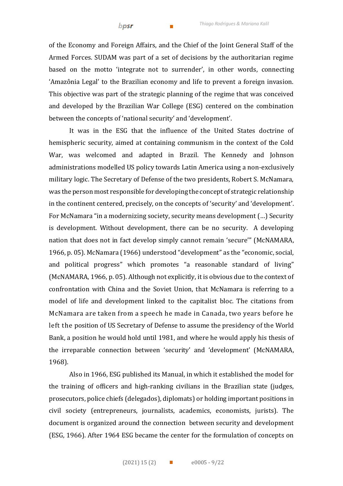of the Economy and Foreign Affairs, and the Chief of the Joint General Staff of the Armed Forces. SUDAM was part of a set of decisions by the authoritarian regime based on the motto 'integrate not to surrender', in other words, connecting 'Amazônia Legal' to the Brazilian economy and life to prevent a foreign invasion. This objective was part of the strategic planning of the regime that was conceived and developed by the Brazilian War College (ESG) centered on the combination between the concepts of 'national security' and 'development'.

It was in the ESG that the influence of the United States doctrine of hemispheric security, aimed at containing communism in the context of the Cold War, was welcomed and adapted in Brazil. The Kennedy and Johnson administrations modelled US policy towards Latin America using a non-exclusively military logic. The Secretary of Defense of the two presidents, Robert S. McNamara, was the person most responsible for developing the concept of strategic relationship in the continent centered, precisely, on the concepts of 'security' and 'development'. For McNamara "in a modernizing society, security means development (…) Security is development. Without development, there can be no security. A developing nation that does not in fact develop simply cannot remain 'secure'" (McNAMARA, 1966, p. 05). McNamara (1966) understood "development" as the "economic, social, and political progress" which promotes "a reasonable standard of living" (McNAMARA, 1966, p. 05). Although not explicitly, it is obvious due to the context of confrontation with China and the Soviet Union, that McNamara is referring to a model of life and development linked to the capitalist bloc. The citations from McNamara are taken from a speech he made in Canada, two years before he left the position of US Secretary of Defense to assume the presidency of the World Bank, a position he would hold until 1981, and where he would apply his thesis of the irreparable connection between 'security' and 'development' (McNAMARA, 1968).

Also in 1966, ESG published its Manual, in which it established the model for the training of officers and high-ranking civilians in the Brazilian state (judges, prosecutors, police chiefs (delegados), diplomats) or holding important positions in civil society (entrepreneurs, journalists, academics, economists, jurists). The document is organized around the connection between security and development (ESG, 1966). After 1964 ESG became the center for the formulation of concepts on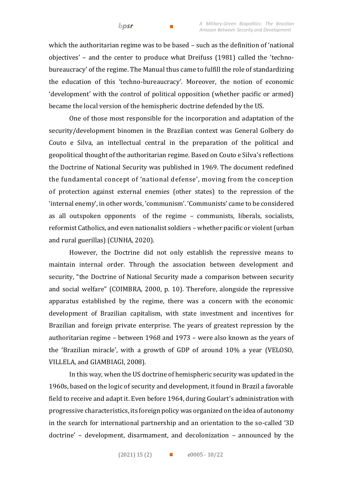which the authoritarian regime was to be based – such as the definition of 'national objectives' – and the center to produce what Dreifuss (1981) called the 'technobureaucracy' of the regime. The Manual thus came to fulfill the role of standardizing the education of this 'techno-bureaucracy'. Moreover, the notion of economic 'development' with the control of political opposition (whether pacific or armed) became the local version of the hemispheric doctrine defended by the US.

One of those most responsible for the incorporation and adaptation of the security/development binomen in the Brazilian context was General Golbery do Couto e Silva, an intellectual central in the preparation of the political and geopolitical thought of the authoritarian regime. Based on Couto e Silva's reflections the Doctrine of National Security was published in 1969. The document redefined the fundamental concept of 'national defense', moving from the conception of protection against external enemies (other states) to the repression of the 'internal enemy', in other words, 'communism'. 'Communists' came to be considered as all outspoken opponents of the regime – communists, liberals, socialists, reformist Catholics, and even nationalist soldiers – whether pacific or violent (urban and rural guerillas) (CUNHA, 2020).

However, the Doctrine did not only establish the repressive means to maintain internal order. Through the association between development and security, "the Doctrine of National Security made a comparison between security and social welfare" (COIMBRA, 2000, p. 10). Therefore, alongside the repressive apparatus established by the regime, there was a concern with the economic development of Brazilian capitalism, with state investment and incentives for Brazilian and foreign private enterprise. The years of greatest repression by the authoritarian regime – between 1968 and 1973 – were also known as the years of the 'Brazilian miracle', with a growth of GDP of around 10% a year (VELOSO, VILLELA, and GIAMBIAGI, 2008).

In this way, when the US doctrine of hemispheric security was updated in the 1960s, based on the logic of security and development, it found in Brazil a favorable field to receive and adapt it. Even before 1964, during Goulart's administration with progressive characteristics, its foreign policy was organized on the idea of autonomy in the search for international partnership and an orientation to the so-called '3D doctrine' – development, disarmament, and decolonization – announced by the

bpsr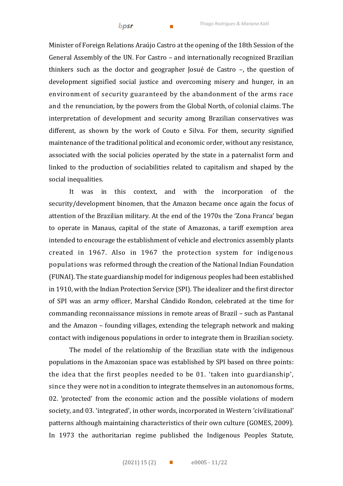Minister of Foreign Relations Araújo Castro at the opening of the 18th Session of the General Assembly of the UN. For Castro – and internationally recognized Brazilian thinkers such as the doctor and geographer Josué de Castro –, the question of development signified social justice and overcoming misery and hunger, in an environment of security guaranteed by the abandonment of the arms race and the renunciation, by the powers from the Global North, of colonial claims. The interpretation of development and security among Brazilian conservatives was different, as shown by the work of Couto e Silva. For them, security signified maintenance of the traditional political and economic order, without any resistance, associated with the social policies operated by the state in a paternalist form and linked to the production of sociabilities related to capitalism and shaped by the social inequalities.

It was in this context, and with the incorporation of the security/development binomen, that the Amazon became once again the focus of attention of the Brazilian military. At the end of the 1970s the 'Zona Franca' began to operate in Manaus, capital of the state of Amazonas, a tariff exemption area intended to encourage the establishment of vehicle and electronics assembly plants created in 1967. Also in 1967 the protection system for indigenous populations was reformed through the creation of the National Indian Foundation (FUNAI). The state guardianship model for indigenous peoples had been established in 1910, with the Indian Protection Service (SPI). The idealizer and the first director of SPI was an army officer, Marshal Cândido Rondon, celebrated at the time for commanding reconnaissance missions in remote areas of Brazil – such as Pantanal and the Amazon – founding villages, extending the telegraph network and making contact with indigenous populations in order to integrate them in Brazilian society.

The model of the relationship of the Brazilian state with the indigenous populations in the Amazonian space was established by SPI based on three points: the idea that the first peoples needed to be 01. 'taken into guardianship', since they were not in a condition to integrate themselves in an autonomous forms, 02. 'protected' from the economic action and the possible violations of modern society, and 03. 'integrated', in other words, incorporated in Western 'civilizational' patterns although maintaining characteristics of their own culture (GOMES, 2009). In 1973 the authoritarian regime published the Indigenous Peoples Statute,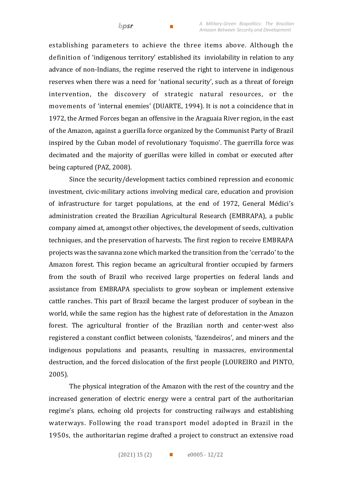establishing parameters to achieve the three items above. Although the definition of 'indigenous territory' established its inviolability in relation to any advance of non-Indians, the regime reserved the right to intervene in indigenous reserves when there was a need for 'national security', such as a threat of foreign intervention, the discovery of strategic natural resources, or the movements of 'internal enemies' (DUARTE, 1994). It is not a coincidence that in 1972, the Armed Forces began an offensive in the Araguaia River region, in the east of the Amazon, against a guerilla force organized by the Communist Party of Brazil inspired by the Cuban model of revolutionary 'foquismo'. The guerrilla force was decimated and the majority of guerillas were killed in combat or executed after being captured (PAZ, 2008).

Since the security/development tactics combined repression and economic investment, civic-military actions involving medical care, education and provision of infrastructure for target populations, at the end of 1972, General Médici's administration created the Brazilian Agricultural Research (EMBRAPA), a public company aimed at, amongst other objectives, the development of seeds, cultivation techniques, and the preservation of harvests. The first region to receive EMBRAPA projects was the savanna zone which marked the transition from the 'cerrado' to the Amazon forest. This region became an agricultural frontier occupied by farmers from the south of Brazil who received large properties on federal lands and assistance from EMBRAPA specialists to grow soybean or implement extensive cattle ranches. This part of Brazil became the largest producer of soybean in the world, while the same region has the highest rate of deforestation in the Amazon forest. The agricultural frontier of the Brazilian north and center-west also registered a constant conflict between colonists, 'fazendeiros'*,* and miners and the indigenous populations and peasants, resulting in massacres, environmental destruction, and the forced dislocation of the first people (LOUREIRO and PINTO, 2005).

The physical integration of the Amazon with the rest of the country and the increased generation of electric energy were a central part of the authoritarian regime's plans, echoing old projects for constructing railways and establishing waterways. Following the road transport model adopted in Brazil in the 1950s, the authoritarian regime drafted a project to construct an extensive road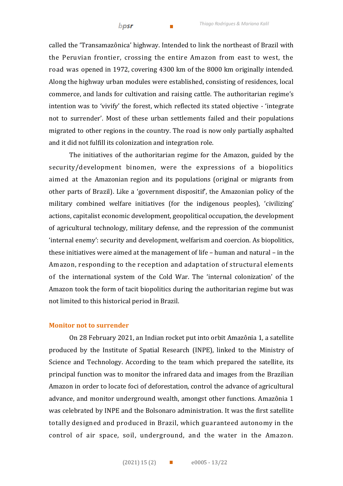called the 'Transamazônica' highway. Intended to link the northeast of Brazil with the Peruvian frontier, crossing the entire Amazon from east to west, the road was opened in 1972, covering 4300 km of the 8000 km originally intended. Along the highway urban modules were established, consisting of residences, local commerce, and lands for cultivation and raising cattle. The authoritarian regime's intention was to 'vivify' the forest, which reflected its stated objective - 'integrate not to surrender'. Most of these urban settlements failed and their populations migrated to other regions in the country. The road is now only partially asphalted and it did not fulfill its colonization and integration role.

The initiatives of the authoritarian regime for the Amazon, guided by the security/development binomen, were the expressions of a biopolitics aimed at the Amazonian region and its populations (original or migrants from other parts of Brazil). Like a 'government dispositif', the Amazonian policy of the military combined welfare initiatives (for the indigenous peoples), 'civilizing' actions, capitalist economic development, geopolitical occupation, the development of agricultural technology, military defense, and the repression of the communist 'internal enemy': security and development, welfarism and coercion. As biopolitics, these initiatives were aimed at the management of life – human and natural – in the Amazon, responding to the reception and adaptation of structural elements of the international system of the Cold War. The 'internal colonization' of the Amazon took the form of tacit biopolitics during the authoritarian regime but was not limited to this historical period in Brazil.

#### **Monitor not to surrender**

On 28 February 2021, an Indian rocket put into orbit Amazônia 1, a satellite produced by the Institute of Spatial Research (INPE), linked to the Ministry of Science and Technology. According to the team which prepared the satellite, its principal function was to monitor the infrared data and images from the Brazilian Amazon in order to locate foci of deforestation, control the advance of agricultural advance, and monitor underground wealth, amongst other functions. Amazônia 1 was celebrated by INPE and the Bolsonaro administration. It was the first satellite totally designed and produced in Brazil, which guaranteed autonomy in the control of air space, soil, underground, and the water in the Amazon.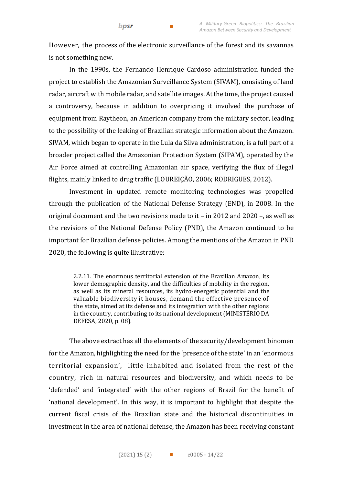However, the process of the electronic surveillance of the forest and its savannas is not something new.

 $\mathcal{L}_{\mathcal{A}}$ 

bpsr

In the 1990s, the Fernando Henrique Cardoso administration funded the project to establish the Amazonian Surveillance System (SIVAM), consisting of land radar, aircraft with mobile radar, and satellite images. At the time, the project caused a controversy, because in addition to overpricing it involved the purchase of equipment from Raytheon, an American company from the military sector, leading to the possibility of the leaking of Brazilian strategic information about the Amazon. SIVAM, which began to operate in the Lula da Silva administration, is a full part of a broader project called the Amazonian Protection System (SIPAM), operated by the Air Force aimed at controlling Amazonian air space, verifying the flux of illegal flights, mainly linked to drug traffic (LOUREIÇÃO, 2006; RODRIGUES, 2012).

Investment in updated remote monitoring technologies was propelled through the publication of the National Defense Strategy (END), in 2008. In the original document and the two revisions made to it – in 2012 and 2020 –, as well as the revisions of the National Defense Policy (PND), the Amazon continued to be important for Brazilian defense policies. Among the mentions of the Amazon in PND 2020, the following is quite illustrative:

2.2.11. The enormous territorial extension of the Brazilian Amazon, its lower demographic density, and the difficulties of mobility in the region, as well as its mineral resources, its hydro-energetic potential and the valuable biodiversity it houses, demand the effective presence of the state, aimed at its defense and its integration with the other regions in the country, contributing to its national development (MINISTÉRIO DA DEFESA, 2020, p. 08).

The above extract has all the elements of the security/development binomen for the Amazon, highlighting the need for the 'presence of the state' in an 'enormous territorial expansion', little inhabited and isolated from the rest of the country, rich in natural resources and biodiversity, and which needs to be 'defended' and 'integrated' with the other regions of Brazil for the benefit of 'national development'. In this way, it is important to highlight that despite the current fiscal crisis of the Brazilian state and the historical discontinuities in investment in the area of national defense, the Amazon has been receiving constant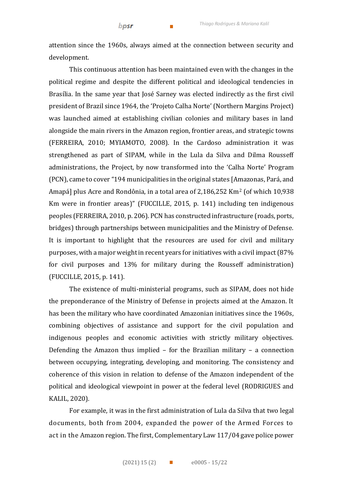attention since the 1960s, always aimed at the connection between security and development.

This continuous attention has been maintained even with the changes in the political regime and despite the different political and ideological tendencies in Brasília. In the same year that José Sarney was elected indirectly as the first civil president of Brazil since 1964, the 'Projeto Calha Norte' (Northern Margins Project) was launched aimed at establishing civilian colonies and military bases in land alongside the main rivers in the Amazon region, frontier areas, and strategic towns (FERREIRA, 2010; MYIAMOTO, 2008). In the Cardoso administration it was strengthened as part of SIPAM, while in the Lula da Silva and Dilma Rousseff administrations, the Project, by now transformed into the 'Calha Norte' Program (PCN), came to cover "194 municipalities in the original states [Amazonas, Pará, and Amapá] plus Acre and Rondônia, in a total area of 2,186,252 Km<sup>2</sup> (of which 10,938 Km were in frontier areas)" (FUCCILLE, 2015, p. 141) including ten indigenous peoples (FERREIRA, 2010, p. 206). PCN has constructed infrastructure (roads, ports, bridges) through partnerships between municipalities and the Ministry of Defense. It is important to highlight that the resources are used for civil and military purposes, with a major weight in recent years for initiatives with a civil impact (87% for civil purposes and 13% for military during the Rousseff administration) (FUCCILLE, 2015, p. 141).

The existence of multi-ministerial programs, such as SIPAM, does not hide the preponderance of the Ministry of Defense in projects aimed at the Amazon. It has been the military who have coordinated Amazonian initiatives since the 1960s, combining objectives of assistance and support for the civil population and indigenous peoples and economic activities with strictly military objectives. Defending the Amazon thus implied – for the Brazilian military – a connection between occupying, integrating, developing, and monitoring. The consistency and coherence of this vision in relation to defense of the Amazon independent of the political and ideological viewpoint in power at the federal level (RODRIGUES and KALIL, 2020).

For example, it was in the first administration of Lula da Silva that two legal documents, both from 2004, expanded the power of the Armed Forces to act in the Amazon region. The first, Complementary Law 117/04 gave police power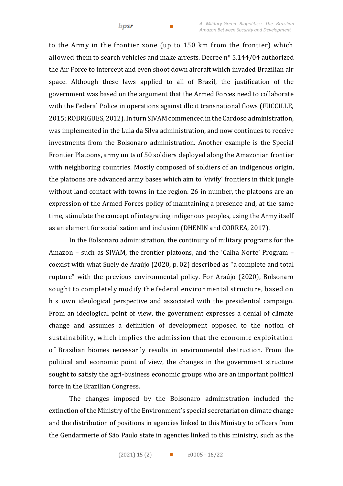to the Army in the frontier zone (up to 150 km from the frontier) which allowed them to search vehicles and make arrests. Decree  $n^{\circ}$  5.144/04 authorized the Air Force to intercept and even shoot down aircraft which invaded Brazilian air space. Although these laws applied to all of Brazil, the justification of the government was based on the argument that the Armed Forces need to collaborate with the Federal Police in operations against illicit transnational flows (FUCCILLE, 2015; RODRIGUES, 2012). In turn SIVAM commenced in the Cardoso administration, was implemented in the Lula da Silva administration, and now continues to receive investments from the Bolsonaro administration. Another example is the Special Frontier Platoons, army units of 50 soldiers deployed along the Amazonian frontier with neighboring countries. Mostly composed of soldiers of an indigenous origin, the platoons are advanced army bases which aim to 'vivify' frontiers in thick jungle without land contact with towns in the region. 26 in number, the platoons are an expression of the Armed Forces policy of maintaining a presence and, at the same time, stimulate the concept of integrating indigenous peoples, using the Army itself as an element for socialization and inclusion (DHENIN and CORREA, 2017).

In the Bolsonaro administration, the continuity of military programs for the Amazon – such as SIVAM, the frontier platoons, and the 'Calha Norte' Program – coexist with what Suely de Araújo (2020, p. 02) described as "a complete and total rupture" with the previous environmental policy. For Araújo (2020), Bolsonaro sought to completely modify the federal environmental structure, based on his own ideological perspective and associated with the presidential campaign. From an ideological point of view, the government expresses a denial of climate change and assumes a definition of development opposed to the notion of sustainability, which implies the admission that the economic exploitation of Brazilian biomes necessarily results in environmental destruction. From the political and economic point of view, the changes in the government structure sought to satisfy the agri-business economic groups who are an important political force in the Brazilian Congress.

The changes imposed by the Bolsonaro administration included the extinction of the Ministry of the Environment's special secretariat on climate change and the distribution of positions in agencies linked to this Ministry to officers from the Gendarmerie of São Paulo state in agencies linked to this ministry, such as the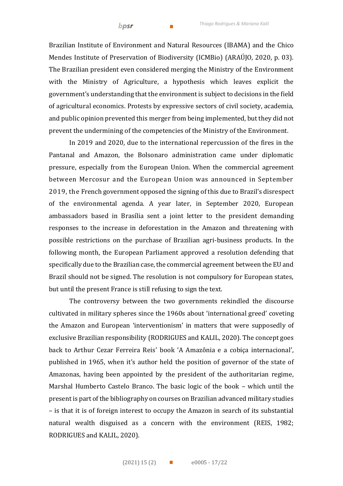Brazilian Institute of Environment and Natural Resources (IBAMA) and the Chico Mendes Institute of Preservation of Biodiversity (ICMBio) (ARAÚJO, 2020, p. 03). The Brazilian president even considered merging the Ministry of the Environment with the Ministry of Agriculture, a hypothesis which leaves explicit the government's understanding that the environment is subject to decisions in the field of agricultural economics. Protests by expressive sectors of civil society, academia, and public opinion prevented this merger from being implemented, but they did not prevent the undermining of the competencies of the Ministry of the Environment.

In 2019 and 2020, due to the international repercussion of the fires in the Pantanal and Amazon, the Bolsonaro administration came under diplomatic pressure, especially from the European Union. When the commercial agreement between Mercosur and the European Union was announced in September 2019, the French government opposed the signing of this due to Brazil's disrespect of the environmental agenda. A year later, in September 2020, European ambassadors based in Brasília sent a joint letter to the president demanding responses to the increase in deforestation in the Amazon and threatening with possible restrictions on the purchase of Brazilian agri-business products. In the following month, the European Parliament approved a resolution defending that specifically due to the Brazilian case, the commercial agreement between the EU and Brazil should not be signed. The resolution is not compulsory for European states, but until the present France is still refusing to sign the text.

The controversy between the two governments rekindled the discourse cultivated in military spheres since the 1960s about 'international greed' coveting the Amazon and European 'interventionism' in matters that were supposedly of exclusive Brazilian responsibility (RODRIGUES and KALIL, 2020). The concept goes back to Arthur Cezar Ferreira Reis' book 'A Amazônia e a cobiça internacional', published in 1965, when it's author held the position of governor of the state of Amazonas, having been appointed by the president of the authoritarian regime, Marshal Humberto Castelo Branco. The basic logic of the book – which until the present is part of the bibliography on courses on Brazilian advanced military studies – is that it is of foreign interest to occupy the Amazon in search of its substantial natural wealth disguised as a concern with the environment (REIS, 1982; RODRIGUES and KALIL, 2020).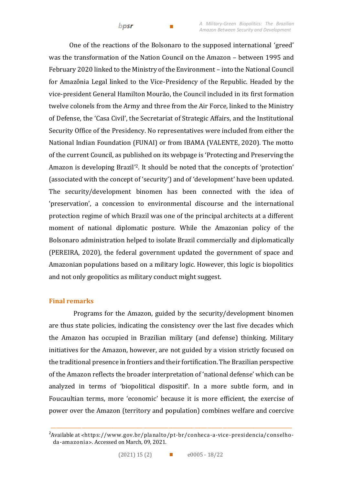bpsr

One of the reactions of the Bolsonaro to the supposed international 'greed' was the transformation of the Nation Council on the Amazon – between 1995 and February 2020 linked to the Ministry of the Environment – into the National Council for Amazônia Legal linked to the Vice-Presidency of the Republic. Headed by the vice-president General Hamilton Mourão, the Council included in its first formation twelve colonels from the Army and three from the Air Force, linked to the Ministry of Defense, the 'Casa Civil', the Secretariat of Strategic Affairs, and the Institutional Security Office of the Presidency. No representatives were included from either the National Indian Foundation (FUNAI) or from IBAMA (VALENTE, 2020). The motto of the current Council, as published on its webpage is 'Protecting and Preserving the Amazon is developing Brazil' <sup>2</sup>. It should be noted that the concepts of 'protection' (associated with the concept of 'security') and of 'development' have been updated. The security/development binomen has been connected with the idea of 'preservation', a concession to environmental discourse and the international protection regime of which Brazil was one of the principal architects at a different moment of national diplomatic posture. While the Amazonian policy of the Bolsonaro administration helped to isolate Brazil commercially and diplomatically (PEREIRA, 2020), the federal government updated the government of space and Amazonian populations based on a military logic. However, this logic is biopolitics and not only geopolitics as military conduct might suggest.

## **Final remarks**

Programs for the Amazon, guided by the security/development binomen are thus state policies, indicating the consistency over the last five decades which the Amazon has occupied in Brazilian military (and defense) thinking. Military initiatives for the Amazon, however, are not guided by a vision strictly focused on the traditional presence in frontiers and their fortification. The Brazilian perspective of the Amazon reflects the broader interpretation of 'national defense' which can be analyzed in terms of 'biopolitical dispositif'. In a more subtle form, and in Foucaultian terms, more 'economic' because it is more efficient, the exercise of power over the Amazon (territory and population) combines welfare and coercive

\_\_\_\_\_\_\_\_\_\_\_\_\_\_\_\_\_\_\_\_\_\_\_\_\_\_\_\_\_\_\_\_\_\_\_\_\_\_\_\_\_\_\_\_\_\_\_\_\_\_\_\_\_\_\_\_\_\_\_\_\_\_\_\_\_\_\_\_\_\_\_\_\_\_\_\_\_\_\_\_\_\_\_\_\_\_\_\_\_\_\_\_\_\_

<sup>&</sup>lt;sup>2</sup>Available at <https://www.gov.br/planalto/pt-br/conheca-a-vice-presidencia/conselhoda-amazonia˃. Accessed on March, 09, 2021.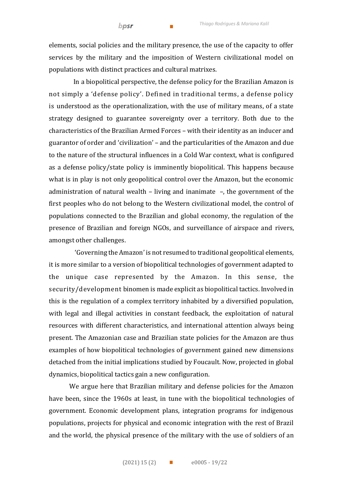elements, social policies and the military presence, the use of the capacity to offer services by the military and the imposition of Western civilizational model on populations with distinct practices and cultural matrixes.

In a biopolitical perspective, the defense policy for the Brazilian Amazon is not simply a 'defense policy'. Defined in traditional terms, a defense policy is understood as the operationalization, with the use of military means, of a state strategy designed to guarantee sovereignty over a territory. Both due to the characteristics of the Brazilian Armed Forces – with their identity as an inducer and guarantor of order and 'civilization' – and the particularities of the Amazon and due to the nature of the structural influences in a Cold War context, what is configured as a defense policy/state policy is imminently biopolitical. This happens because what is in play is not only geopolitical control over the Amazon, but the economic administration of natural wealth – living and inanimate –, the government of the first peoples who do not belong to the Western civilizational model, the control of populations connected to the Brazilian and global economy, the regulation of the presence of Brazilian and foreign NGOs, and surveillance of airspace and rivers, amongst other challenges.

'Governing the Amazon' is not resumed to traditional geopolitical elements, it is more similar to a version of biopolitical technologies of government adapted to the unique case represented by the Amazon. In this sense, the security/development binomen is made explicit as biopolitical tactics. Involved in this is the regulation of a complex territory inhabited by a diversified population, with legal and illegal activities in constant feedback, the exploitation of natural resources with different characteristics, and international attention always being present. The Amazonian case and Brazilian state policies for the Amazon are thus examples of how biopolitical technologies of government gained new dimensions detached from the initial implications studied by Foucault. Now, projected in global dynamics, biopolitical tactics gain a new configuration.

We argue here that Brazilian military and defense policies for the Amazon have been, since the 1960s at least, in tune with the biopolitical technologies of government. Economic development plans, integration programs for indigenous populations, projects for physical and economic integration with the rest of Brazil and the world, the physical presence of the military with the use of soldiers of an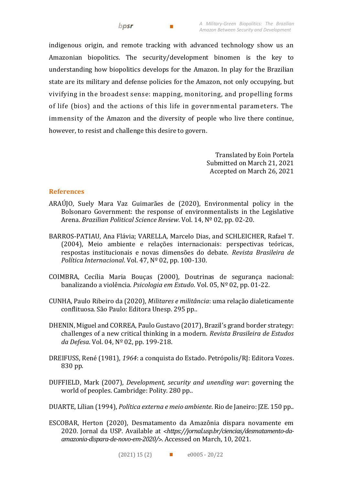indigenous origin, and remote tracking with advanced technology show us an Amazonian biopolitics. The security/development binomen is the key to understanding how biopolitics develops for the Amazon. In play for the Brazilian state are its military and defense policies for the Amazon, not only occupying, but vivifying in the broadest sense: mapping, monitoring, and propelling forms of life (bios) and the actions of this life in governmental parameters. The immensity of the Amazon and the diversity of people who live there continue, however, to resist and challenge this desire to govern.

> Translated by Eoin Portela Submitted on March 21, 2021 Accepted on March 26, 2021

## **References**

- ARAÚJO, Suely Mara Vaz Guimarães de (2020), Environmental policy in the Bolsonaro Government: the response of environmentalists in the Legislative Arena. *Brazilian Political Science Review*. Vol. 14, Nº 02, pp. 02-20.
- BARROS-PATIAU, Ana Flávia; VARELLA, Marcelo Dias, and SCHLEICHER, Rafael T. (2004), Meio ambiente e relações internacionais: perspectivas teóricas, respostas institucionais e novas dimensões do debate. *Revista Brasileira de Política Internacional*. Vol. 47, Nº 02, pp. 100-130.
- COIMBRA, Cecília Maria Bouças (2000), Doutrinas de segurança nacional: banalizando a violência. *Psicologia em Estudo*. Vol. 05, Nº 02, pp. 01-22.
- CUNHA, Paulo Ribeiro da (2020), *Militares e militância*: uma relação dialeticamente conflituosa. São Paulo: Editora Unesp. 295 pp..
- DHENIN, Miguel and CORREA, Paulo Gustavo (2017), Brazil's grand border strategy: challenges of a new critical thinking in a modern. *Revista Brasileira de Estudos da Defesa*. Vol. 04, Nº 02, pp. 199-218.
- DREIFUSS, René (1981), *1964*: a conquista do Estado. Petrópolis/RJ: Editora Vozes. 830 pp.
- DUFFIELD, Mark (2007), *Development, security and unending war*: governing the world of peoples. Cambridge: Polity. 280 pp..
- DUARTE, Lílian (1994), *Política externa e meio ambiente*. Rio de Janeiro: JZE. 150 pp..
- ESCOBAR, Herton (2020), Desmatamento da Amazônia dispara novamente em 2020. Jornal da USP. Available at ˂*https://jornal.usp.br/ciencias/desmatamento-daamazonia-dispara-de-novo-em-2020/*˃. Accessed on March, 10, 2021.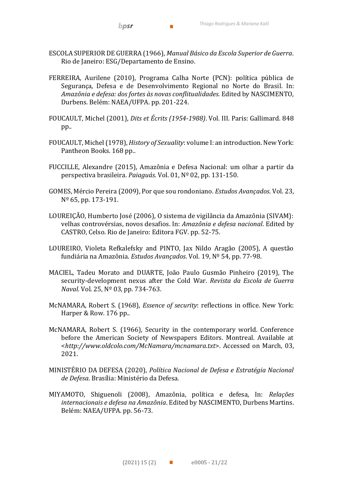ESCOLA SUPERIOR DE GUERRA (1966), *Manual Básico da Escola Superior de Guerra*. Rio de Janeiro: ESG/Departamento de Ensino.

**Contract Contract Contract** 

- FERREIRA, Aurilene (2010), Programa Calha Norte (PCN): política pública de Segurança, Defesa e de Desenvolvimento Regional no Norte do Brasil. In: *Amazônia e defesa: dos fortes às novas conflitualidades.* Edited by NASCIMENTO, Durbens. Belém: NAEA/UFPA. pp. 201-224.
- FOUCAULT, Michel (2001), *Dits et Écrits (1954-1988)*. Vol. III. Paris: Gallimard. 848 pp..
- FOUCAULT, Michel (1978), *History of Sexuality*: volume I: an introduction. New York: Pantheon Books. 168 pp..
- FUCCILLE, Alexandre (2015), Amazônia e Defesa Nacional: um olhar a partir da perspectiva brasileira. *Paiaguás*. Vol. 01, Nº 02, pp. 131-150.
- GOMES, Mércio Pereira (2009), Por que sou rondoniano. *Estudos Avançados*. Vol. 23, Nº 65, pp. 173-191.
- LOUREIÇÃO, Humberto José (2006), O sistema de vigilância da Amazônia (SIVAM): velhas controvérsias, novos desafios. In: *Amazônia e defesa nacional*. Edited by CASTRO, Celso. Rio de Janeiro: Editora FGV. pp. 52-75.
- LOUREIRO, Violeta Refkalefsky and PINTO, Jax Nildo Aragão (2005), A questão fundiária na Amazônia. *Estudos Avançados*. Vol. 19, Nº 54, pp. 77-98.
- MACIEL, Tadeu Morato and DUARTE, João Paulo Gusmão Pinheiro (2019), The security-development nexus after the Cold War. *Revista da Escola de Guerra Naval*. Vol. 25, Nº 03, pp. 734-763.
- McNAMARA, Robert S. (1968), *Essence of security*: reflections in office. New York: Harper & Row. 176 pp..
- McNAMARA, Robert S. (1966), Security in the contemporary world. Conference before the American Society of Newspapers Editors. Montreal. Available at <*http://www.oldcolo.com/McNamara/mcnamara.txt*>. Accessed on March, 03, 2021.
- MINISTÉRIO DA DEFESA (2020), *Política Nacional de Defesa e Estratégia Nacional de Defesa*. Brasília: Ministério da Defesa.
- MIYAMOTO, Shiguenoli (2008), Amazônia, política e defesa, In: *Relações internacionais e defesa na Amazônia*. Edited by NASCIMENTO, Durbens Martins. Belém: NAEA/UFPA. pp. 56-73.